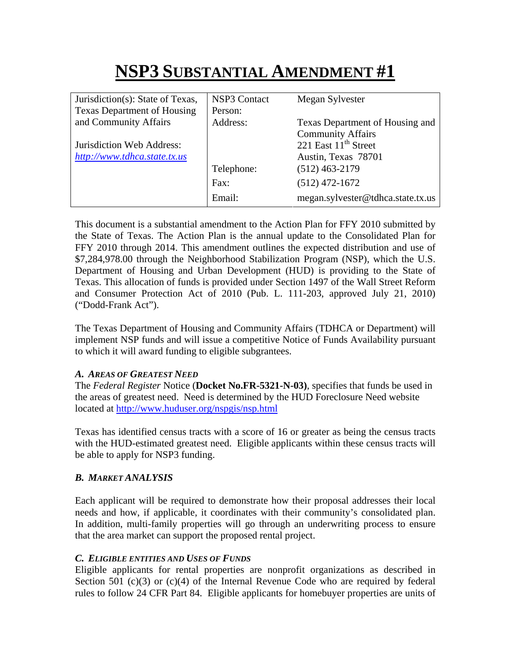# **NSP3 SUBSTANTIAL AMENDMENT #1**

| Jurisdiction(s): State of Texas,   | <b>NSP3 Contact</b> | Megan Sylvester                   |
|------------------------------------|---------------------|-----------------------------------|
| <b>Texas Department of Housing</b> | Person:             |                                   |
| and Community Affairs              | Address:            | Texas Department of Housing and   |
|                                    |                     | <b>Community Affairs</b>          |
| Jurisdiction Web Address:          |                     | 221 East 11 <sup>th</sup> Street  |
| http://www.tdhca.state.tx.us       |                     | Austin, Texas 78701               |
|                                    | Telephone:          | $(512)$ 463-2179                  |
|                                    | Fax:                | $(512)$ 472-1672                  |
|                                    | Email:              | megan.sylvester@tdhca.state.tx.us |

This document is a substantial amendment to the Action Plan for FFY 2010 submitted by the State of Texas. The Action Plan is the annual update to the Consolidated Plan for FFY 2010 through 2014. This amendment outlines the expected distribution and use of \$7,284,978.00 through the Neighborhood Stabilization Program (NSP), which the U.S. Department of Housing and Urban Development (HUD) is providing to the State of Texas. This allocation of funds is provided under Section 1497 of the Wall Street Reform and Consumer Protection Act of 2010 (Pub. L. 111-203, approved July 21, 2010) ("Dodd-Frank Act").

The Texas Department of Housing and Community Affairs (TDHCA or Department) will implement NSP funds and will issue a competitive Notice of Funds Availability pursuant to which it will award funding to eligible subgrantees.

## *A. AREAS OF GREATEST NEED*

The *Federal Register* Notice (**Docket No.FR-5321-N-03)**, specifies that funds be used in the areas of greatest need. Need is determined by the HUD Foreclosure Need website located at http://www.huduser.org/nspgis/nsp.html

Texas has identified census tracts with a score of 16 or greater as being the census tracts with the HUD-estimated greatest need. Eligible applicants within these census tracts will be able to apply for NSP3 funding.

# *B. MARKET ANALYSIS*

Each applicant will be required to demonstrate how their proposal addresses their local needs and how, if applicable, it coordinates with their community's consolidated plan. In addition, multi-family properties will go through an underwriting process to ensure that the area market can support the proposed rental project.

## *C. ELIGIBLE ENTITIES AND USES OF FUNDS*

Eligible applicants for rental properties are nonprofit organizations as described in Section 501  $(c)(3)$  or  $(c)(4)$  of the Internal Revenue Code who are required by federal rules to follow 24 CFR Part 84. Eligible applicants for homebuyer properties are units of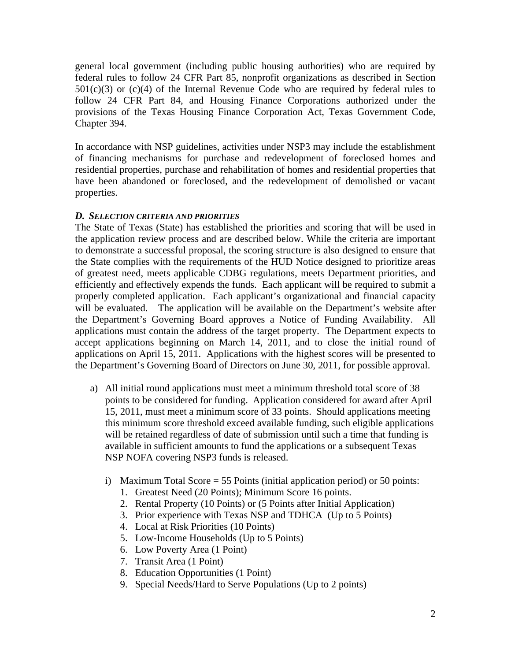general local government (including public housing authorities) who are required by federal rules to follow 24 CFR Part 85, nonprofit organizations as described in Section  $501(c)(3)$  or  $(c)(4)$  of the Internal Revenue Code who are required by federal rules to follow 24 CFR Part 84, and Housing Finance Corporations authorized under the provisions of the Texas Housing Finance Corporation Act, Texas Government Code, Chapter 394.

In accordance with NSP guidelines, activities under NSP3 may include the establishment of financing mechanisms for purchase and redevelopment of foreclosed homes and residential properties, purchase and rehabilitation of homes and residential properties that have been abandoned or foreclosed, and the redevelopment of demolished or vacant properties.

#### *D. SELECTION CRITERIA AND PRIORITIES*

The State of Texas (State) has established the priorities and scoring that will be used in the application review process and are described below. While the criteria are important to demonstrate a successful proposal, the scoring structure is also designed to ensure that the State complies with the requirements of the HUD Notice designed to prioritize areas of greatest need, meets applicable CDBG regulations, meets Department priorities, and efficiently and effectively expends the funds. Each applicant will be required to submit a properly completed application. Each applicant's organizational and financial capacity will be evaluated. The application will be available on the Department's website after the Department's Governing Board approves a Notice of Funding Availability. All applications must contain the address of the target property. The Department expects to accept applications beginning on March 14, 2011, and to close the initial round of applications on April 15, 2011. Applications with the highest scores will be presented to the Department's Governing Board of Directors on June 30, 2011, for possible approval.

- a) All initial round applications must meet a minimum threshold total score of 38 points to be considered for funding. Application considered for award after April 15, 2011, must meet a minimum score of 33 points. Should applications meeting this minimum score threshold exceed available funding, such eligible applications will be retained regardless of date of submission until such a time that funding is available in sufficient amounts to fund the applications or a subsequent Texas NSP NOFA covering NSP3 funds is released.
	- i) Maximum Total Score = 55 Points (initial application period) or 50 points:
		- 1. Greatest Need (20 Points); Minimum Score 16 points.
		- 2. Rental Property (10 Points) or (5 Points after Initial Application)
		- 3. Prior experience with Texas NSP and TDHCA (Up to 5 Points)
		- 4. Local at Risk Priorities (10 Points)
		- 5. Low-Income Households (Up to 5 Points)
		- 6. Low Poverty Area (1 Point)
		- 7. Transit Area (1 Point)
		- 8. Education Opportunities (1 Point)
		- 9. Special Needs/Hard to Serve Populations (Up to 2 points)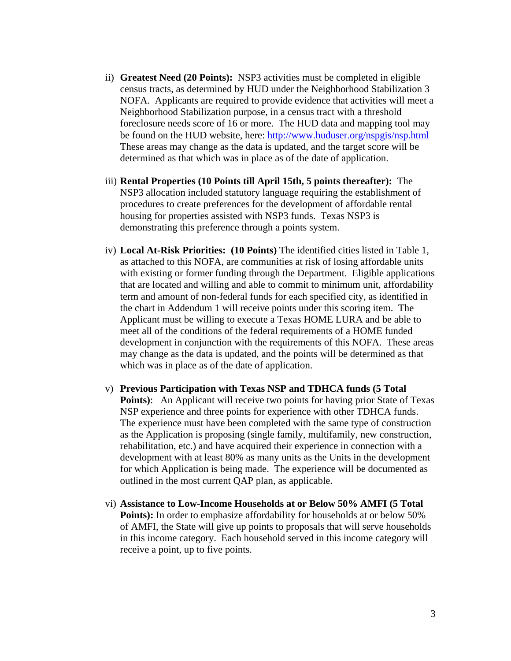- ii) **Greatest Need (20 Points):** NSP3 activities must be completed in eligible census tracts, as determined by HUD under the Neighborhood Stabilization 3 NOFA. Applicants are required to provide evidence that activities will meet a Neighborhood Stabilization purpose, in a census tract with a threshold foreclosure needs score of 16 or more. The HUD data and mapping tool may be found on the HUD website, here: http://www.huduser.org/nspgis/nsp.html These areas may change as the data is updated, and the target score will be determined as that which was in place as of the date of application.
- iii) **Rental Properties (10 Points till April 15th, 5 points thereafter):** The NSP3 allocation included statutory language requiring the establishment of procedures to create preferences for the development of affordable rental housing for properties assisted with NSP3 funds. Texas NSP3 is demonstrating this preference through a points system.
- iv) **Local At-Risk Priorities: (10 Points)** The identified cities listed in Table 1, as attached to this NOFA, are communities at risk of losing affordable units with existing or former funding through the Department. Eligible applications that are located and willing and able to commit to minimum unit, affordability term and amount of non-federal funds for each specified city, as identified in the chart in Addendum 1 will receive points under this scoring item. The Applicant must be willing to execute a Texas HOME LURA and be able to meet all of the conditions of the federal requirements of a HOME funded development in conjunction with the requirements of this NOFA. These areas may change as the data is updated, and the points will be determined as that which was in place as of the date of application.
- v) **Previous Participation with Texas NSP and TDHCA funds (5 Total Points**): An Applicant will receive two points for having prior State of Texas NSP experience and three points for experience with other TDHCA funds. The experience must have been completed with the same type of construction as the Application is proposing (single family, multifamily, new construction, rehabilitation, etc.) and have acquired their experience in connection with a development with at least 80% as many units as the Units in the development for which Application is being made. The experience will be documented as outlined in the most current QAP plan, as applicable.
- vi) **Assistance to Low-Income Households at or Below 50% AMFI (5 Total Points):** In order to emphasize affordability for households at or below 50% of AMFI, the State will give up points to proposals that will serve households in this income category. Each household served in this income category will receive a point, up to five points.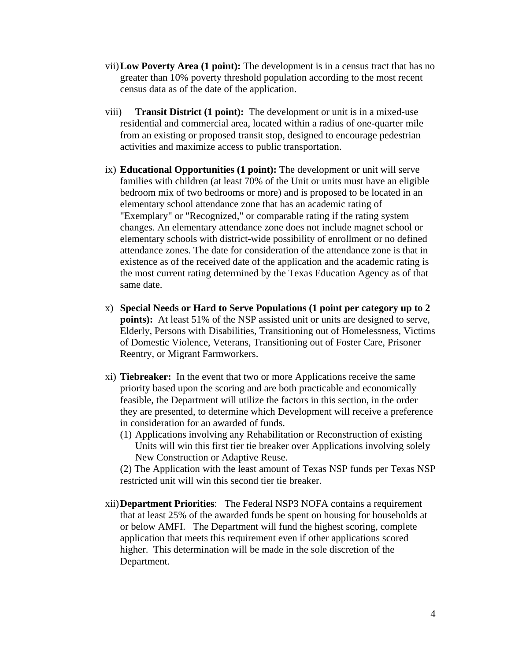- vii)**Low Poverty Area (1 point):** The development is in a census tract that has no greater than 10% poverty threshold population according to the most recent census data as of the date of the application.
- viii) **Transit District (1 point):** The development or unit is in a mixed-use residential and commercial area, located within a radius of one-quarter mile from an existing or proposed transit stop, designed to encourage pedestrian activities and maximize access to public transportation.
- ix) **Educational Opportunities (1 point):** The development or unit will serve families with children (at least 70% of the Unit or units must have an eligible bedroom mix of two bedrooms or more) and is proposed to be located in an elementary school attendance zone that has an academic rating of "Exemplary" or "Recognized," or comparable rating if the rating system changes. An elementary attendance zone does not include magnet school or elementary schools with district-wide possibility of enrollment or no defined attendance zones. The date for consideration of the attendance zone is that in existence as of the received date of the application and the academic rating is the most current rating determined by the Texas Education Agency as of that same date.
- x) **Special Needs or Hard to Serve Populations (1 point per category up to 2 points):** At least 51% of the NSP assisted unit or units are designed to serve, Elderly, Persons with Disabilities, Transitioning out of Homelessness, Victims of Domestic Violence, Veterans, Transitioning out of Foster Care, Prisoner Reentry, or Migrant Farmworkers.
- xi) **Tiebreaker:** In the event that two or more Applications receive the same priority based upon the scoring and are both practicable and economically feasible, the Department will utilize the factors in this section, in the order they are presented, to determine which Development will receive a preference in consideration for an awarded of funds.
	- (1) Applications involving any Rehabilitation or Reconstruction of existing Units will win this first tier tie breaker over Applications involving solely New Construction or Adaptive Reuse.

(2) The Application with the least amount of Texas NSP funds per Texas NSP restricted unit will win this second tier tie breaker.

xii)**Department Priorities**: The Federal NSP3 NOFA contains a requirement that at least 25% of the awarded funds be spent on housing for households at or below AMFI. The Department will fund the highest scoring, complete application that meets this requirement even if other applications scored higher. This determination will be made in the sole discretion of the Department.